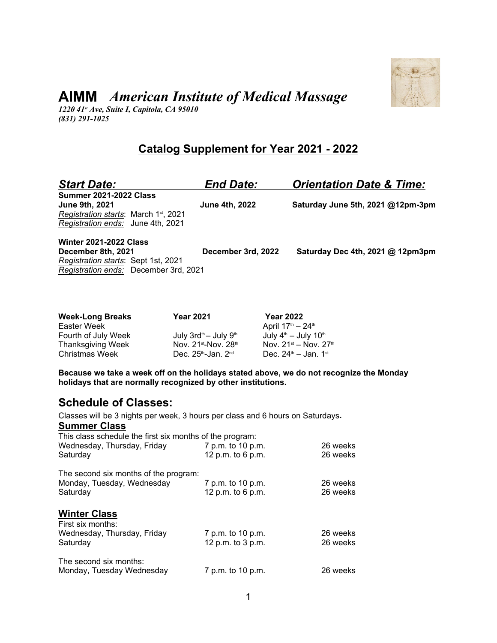

# **AIMM** *American Institute of Medical Massage*

*1220 41st Ave, Suite I, Capitola, CA 95010 (831) 291-1025*

## **Catalog Supplement for Year 2021 - 2022**

| <b>Start Date:</b>                                                                                                                               | <b>End Date:</b>      | <b>Orientation Date &amp; Time:</b> |
|--------------------------------------------------------------------------------------------------------------------------------------------------|-----------------------|-------------------------------------|
| <b>Summer 2021-2022 Class</b><br><b>June 9th, 2021</b><br>Registration starts: March 1 <sup>st</sup> , 2021<br>Registration ends: June 4th, 2021 | <b>June 4th, 2022</b> | Saturday June 5th, 2021 @12pm-3pm   |
| <b>Winter 2021-2022 Class</b><br>December 8th, 2021<br>Registration starts: Sept 1st, 2021<br>Registration ends: December 3rd, 2021              | December 3rd, 2022    | Saturday Dec 4th, 2021 @ 12pm3pm    |
|                                                                                                                                                  |                       |                                     |

| <b>Week-Long Breaks</b> | <b>Year 2021</b>                            | <b>Year 2022</b>                             |
|-------------------------|---------------------------------------------|----------------------------------------------|
| Easter Week             |                                             | April $17^{\text{th}} - 24^{\text{th}}$      |
| Fourth of July Week     | July $3$ rd <sup>th</sup> — July $9th$      | July $4^{\text{th}}$ – July 10 <sup>th</sup> |
| Thanksgiving Week       | Nov. $21^{st}$ -Nov. $28^{th}$              | Nov. $21^{st}$ – Nov. $27^{th}$              |
| Christmas Week          | Dec. $25^{\text{th}}$ -Jan. $2^{\text{nd}}$ | Dec. $24^{\text{th}} -$ Jan. 1st             |

**Because we take a week off on the holidays stated above, we do not recognize the Monday holidays that are normally recognized by other institutions.** 

## **Schedule of Classes:**

Classes will be 3 nights per week, 3 hours per class and 6 hours on Saturdays.

**Summer Class**

| This class schedule the first six months of the program: |                     |          |  |  |  |  |
|----------------------------------------------------------|---------------------|----------|--|--|--|--|
| Wednesday, Thursday, Friday                              | 7 p.m. to 10 p.m.   | 26 weeks |  |  |  |  |
| Saturday                                                 | 12 p.m. to 6 p.m.   | 26 weeks |  |  |  |  |
| The second six months of the program:                    |                     |          |  |  |  |  |
| Monday, Tuesday, Wednesday                               | 7 p.m. to 10 p.m.   | 26 weeks |  |  |  |  |
| Saturday                                                 | 12 p.m. to 6 p.m.   | 26 weeks |  |  |  |  |
| <b>Winter Class</b><br>First six months:                 |                     |          |  |  |  |  |
| Wednesday, Thursday, Friday                              | 7 p.m. to 10 p.m.   | 26 weeks |  |  |  |  |
| Saturday                                                 | 12 p.m. to $3$ p.m. | 26 weeks |  |  |  |  |
| The second six months:                                   |                     |          |  |  |  |  |
| Monday, Tuesday Wednesday                                | 7 p.m. to 10 p.m.   | 26 weeks |  |  |  |  |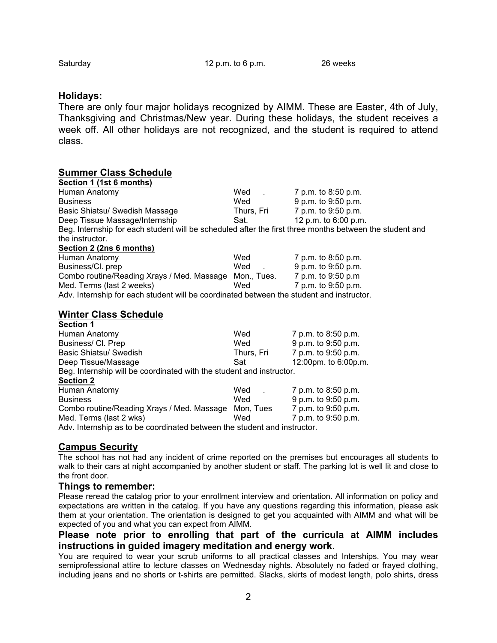### **Holidays:**

There are only four major holidays recognized by AIMM. These are Easter, 4th of July, Thanksgiving and Christmas/New year. During these holidays, the student receives a week off. All other holidays are not recognized, and the student is required to attend class.

| <b>Summer Class Schedule</b>                                                                            |                                 |                      |
|---------------------------------------------------------------------------------------------------------|---------------------------------|----------------------|
| Section 1 (1st 6 months)                                                                                |                                 |                      |
| Human Anatomy                                                                                           | Wed<br><b>Contract Contract</b> | 7 p.m. to 8:50 p.m.  |
| <b>Business</b>                                                                                         | Wed                             | 9 p.m. to 9:50 p.m.  |
| Basic Shiatsu/ Swedish Massage                                                                          | Thurs, Fri                      | 7 p.m. to 9:50 p.m.  |
| Deep Tissue Massage/Internship                                                                          | Sat.                            | 12 p.m. to 6:00 p.m. |
| Beg. Internship for each student will be scheduled after the first three months between the student and |                                 |                      |
| the instructor.                                                                                         |                                 |                      |
| Section 2 (2ns 6 months)                                                                                |                                 |                      |
| Human Anatomy                                                                                           | Wed                             | 7 p.m. to 8:50 p.m.  |
| Business/Cl. prep                                                                                       | Wed<br><b>Contract Contract</b> | 9 p.m. to 9:50 p.m.  |
| Combo routine/Reading Xrays / Med. Massage Mon., Tues. 7 p.m. to 9:50 p.m                               |                                 |                      |
| Med. Terms (last 2 weeks)                                                                               | Wed                             | 7 p.m. to 9:50 p.m.  |
| Adv. Internship for each student will be coordinated between the student and instructor.                |                                 |                      |
| <b>Winter Class Schedule</b>                                                                            |                                 |                      |
| <b>Section 1</b>                                                                                        |                                 |                      |
| Human Anatomy                                                                                           | Wed                             | 7 p.m. to 8:50 p.m.  |
| Business/ Cl. Prep                                                                                      | Wed                             | 9 p.m. to 9:50 p.m.  |
| Basic Shiatsu/ Swedish                                                                                  | Thurs, Fri                      | 7 p.m. to 9:50 p.m.  |
| Deep Tissue/Massage                                                                                     | Sat                             | 12:00pm. to 6:00p.m. |
| Beg. Internship will be coordinated with the student and instructor.                                    |                                 |                      |
| <b>Section 2</b>                                                                                        |                                 |                      |
| Human Anatomy                                                                                           | Wed                             | 7 p.m. to 8:50 p.m.  |
| <b>Business</b>                                                                                         | Wed                             | 9 p.m. to 9:50 p.m.  |

Med. Terms (last 2 wks) Med 7 p.m. to 9:50 p.m.

Combo routine/Reading Xrays / Med. Massage Mon, Tues 7 p.m. to 9:50 p.m.

Adv. Internship as to be coordinated between the student and instructor.

## **Campus Security**

The school has not had any incident of crime reported on the premises but encourages all students to walk to their cars at night accompanied by another student or staff. The parking lot is well lit and close to the front door.

### **Things to remember:**

Please reread the catalog prior to your enrollment interview and orientation. All information on policy and expectations are written in the catalog. If you have any questions regarding this information, please ask them at your orientation. The orientation is designed to get you acquainted with AIMM and what will be expected of you and what you can expect from AIMM.

### **Please note prior to enrolling that part of the curricula at AIMM includes instructions in guided imagery meditation and energy work.**

You are required to wear your scrub uniforms to all practical classes and Interships. You may wear semiprofessional attire to lecture classes on Wednesday nights. Absolutely no faded or frayed clothing, including jeans and no shorts or t-shirts are permitted. Slacks, skirts of modest length, polo shirts, dress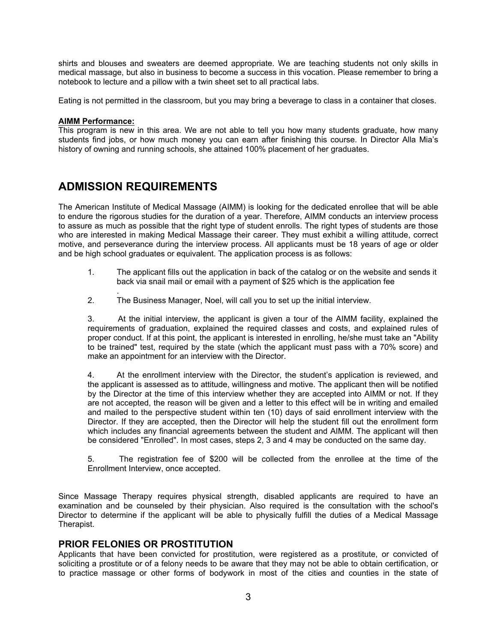shirts and blouses and sweaters are deemed appropriate. We are teaching students not only skills in medical massage, but also in business to become a success in this vocation. Please remember to bring a notebook to lecture and a pillow with a twin sheet set to all practical labs.

Eating is not permitted in the classroom, but you may bring a beverage to class in a container that closes.

#### **AIMM Performance:**

This program is new in this area. We are not able to tell you how many students graduate, how many students find jobs, or how much money you can earn after finishing this course. In Director Alla Mia's history of owning and running schools, she attained 100% placement of her graduates.

## **ADMISSION REQUIREMENTS**

The American Institute of Medical Massage (AIMM) is looking for the dedicated enrollee that will be able to endure the rigorous studies for the duration of a year. Therefore, AIMM conducts an interview process to assure as much as possible that the right type of student enrolls. The right types of students are those who are interested in making Medical Massage their career. They must exhibit a willing attitude, correct motive, and perseverance during the interview process. All applicants must be 18 years of age or older and be high school graduates or equivalent. The application process is as follows:

- 1. The applicant fills out the application in back of the catalog or on the website and sends it back via snail mail or email with a payment of \$25 which is the application fee
- . 2. The Business Manager, Noel, will call you to set up the initial interview.

3. At the initial interview, the applicant is given a tour of the AIMM facility, explained the requirements of graduation, explained the required classes and costs, and explained rules of proper conduct. If at this point, the applicant is interested in enrolling, he/she must take an "Ability to be trained" test, required by the state (which the applicant must pass with a 70% score) and make an appointment for an interview with the Director.

4. At the enrollment interview with the Director, the student's application is reviewed, and the applicant is assessed as to attitude, willingness and motive. The applicant then will be notified by the Director at the time of this interview whether they are accepted into AIMM or not. If they are not accepted, the reason will be given and a letter to this effect will be in writing and emailed and mailed to the perspective student within ten (10) days of said enrollment interview with the Director. If they are accepted, then the Director will help the student fill out the enrollment form which includes any financial agreements between the student and AIMM. The applicant will then be considered "Enrolled". In most cases, steps 2, 3 and 4 may be conducted on the same day.

5. The registration fee of \$200 will be collected from the enrollee at the time of the Enrollment Interview, once accepted.

Since Massage Therapy requires physical strength, disabled applicants are required to have an examination and be counseled by their physician. Also required is the consultation with the school's Director to determine if the applicant will be able to physically fulfill the duties of a Medical Massage Therapist.

## **PRIOR FELONIES OR PROSTITUTION**

Applicants that have been convicted for prostitution, were registered as a prostitute, or convicted of soliciting a prostitute or of a felony needs to be aware that they may not be able to obtain certification, or to practice massage or other forms of bodywork in most of the cities and counties in the state of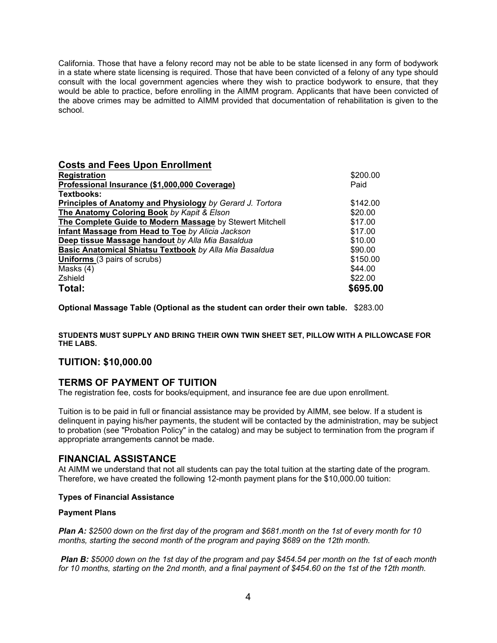California. Those that have a felony record may not be able to be state licensed in any form of bodywork in a state where state licensing is required. Those that have been convicted of a felony of any type should consult with the local government agencies where they wish to practice bodywork to ensure, that they would be able to practice, before enrolling in the AIMM program. Applicants that have been convicted of the above crimes may be admitted to AIMM provided that documentation of rehabilitation is given to the school.

| <b>Costs and Fees Upon Enrollment</b>                     |          |  |
|-----------------------------------------------------------|----------|--|
| <b>Registration</b>                                       | \$200.00 |  |
| Professional Insurance (\$1,000,000 Coverage)             | Paid     |  |
| Textbooks:                                                |          |  |
| Principles of Anatomy and Physiology by Gerard J. Tortora | \$142.00 |  |
| The Anatomy Coloring Book by Kapit & Elson                | \$20.00  |  |
| The Complete Guide to Modern Massage by Stewert Mitchell  | \$17.00  |  |
| Infant Massage from Head to Toe by Alicia Jackson         | \$17.00  |  |
| Deep tissue Massage handout by Alla Mia Basaldua          | \$10.00  |  |
| Basic Anatomical Shiatsu Textbook by Alla Mia Basaldua    | \$90.00  |  |
| <b>Uniforms</b> (3 pairs of scrubs)                       | \$150.00 |  |
| Masks (4)                                                 | \$44.00  |  |
| Zshield                                                   | \$22.00  |  |
| Total:                                                    | \$695.00 |  |

**Optional Massage Table (Optional as the student can order their own table.** \$283.00

**STUDENTS MUST SUPPLY AND BRING THEIR OWN TWIN SHEET SET, PILLOW WITH A PILLOWCASE FOR THE LABS.** 

### **TUITION: \$10,000.00**

## **TERMS OF PAYMENT OF TUITION**

The registration fee, costs for books/equipment, and insurance fee are due upon enrollment.

Tuition is to be paid in full or financial assistance may be provided by AIMM, see below. If a student is delinquent in paying his/her payments, the student will be contacted by the administration, may be subject to probation (see "Probation Policy" in the catalog) and may be subject to termination from the program if appropriate arrangements cannot be made.

### **FINANCIAL ASSISTANCE**

At AIMM we understand that not all students can pay the total tuition at the starting date of the program. Therefore, we have created the following 12-month payment plans for the \$10,000.00 tuition:

#### **Types of Financial Assistance**

#### **Payment Plans**

*Plan A: \$2500 down on the first day of the program and \$681.month on the 1st of every month for 10 months, starting the second month of the program and paying \$689 on the 12th month.*

*Plan B: \$5000 down on the 1st day of the program and pay \$454.54 per month on the 1st of each month for 10 months, starting on the 2nd month, and a final payment of \$454.60 on the 1st of the 12th month.*